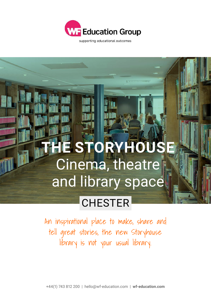

supporting educational outcomes

## **STORYHOUS** Cinema, theatre and library space

## **CHESTER**

An inspirational place to make, share and tell great stories, the new Storyhouse library is not your usual library.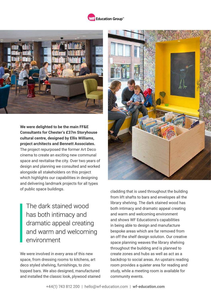## **WE Education Group**<sup>\*\*</sup>



## **We were delighted to be the main FF&E Consultants for Chester's £37m Storyhouse cultural centre, designed by Ellis Williams, project architects and Bennett Associates.**

The project repurposed the former Art Deco cinema to create an exciting new communal space and revitalise the city. Over two years of design and planning we consulted and worked alongside all stakeholders on this project which highlights our capabilities in designing and delivering landmark projects for all types of public space buildings.

The dark stained wood has both intimacy and dramatic appeal creating and warm and welcoming environment

We were involved in every area of this new space, from dressing rooms to kitchens, art deco styled shelving, furnishings, to zinc topped bars. We also designed, manufactured and installed the classic look, plywood stained



cladding that is used throughout the building from lift shafts to bars and envelopes all the library shelving. The dark stained wood has both intimacy and dramatic appeal creating and warm and welcoming environment and shows WF Educations's capabilities in being able to design and manufacture bespoke areas which are far removed from an off the shelf design solution. Our creative space planning weaves the library shelving throughout the building and is planned to create zones and hubs as well as act as a backdrop to social areas. An upstairs reading room provides a quieter area for reading and study, while a meeting room is available for community events.